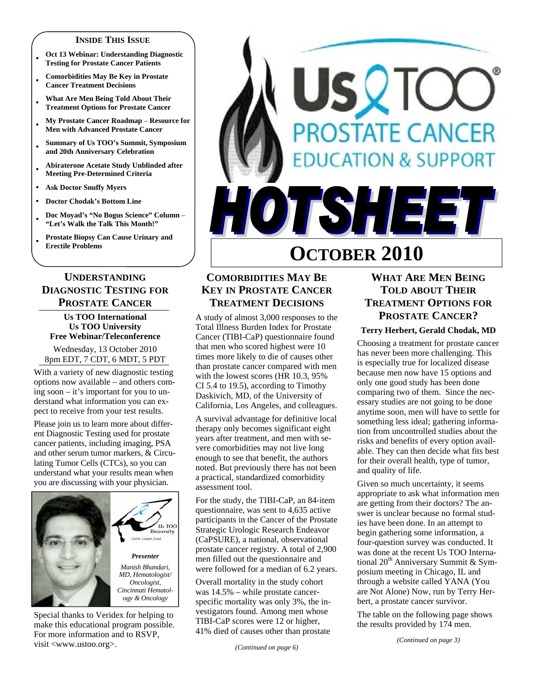#### **INSIDE THIS ISSUE**

- <sup>y</sup>**Oct 13 Webinar: Understanding Diagnostic Testing for Prostate Cancer Patients**
- <sup>y</sup>**Comorbidities May Be Key in Prostate Cancer Treatment Decisions**
- <sup>y</sup>**What Are Men Being Told About Their Treatment Options for Prostate Cancer**
- <sup>y</sup>**My Prostate Cancer Roadmap Resource for Men with Advanced Prostate Cancer**
- <sup>y</sup>**Summary of Us TOO's Summit, Symposium and 20th Anniversary Celebration**
- <sup>y</sup>**Abiraterone Acetate Study Unblinded after Meeting Pre-Determined Criteria**
- **Ask Doctor Snuffy Myers**
- **Doctor Chodak's Bottom Line**
- <sup>y</sup>**Doc Moyad's "No Bogus Science" Column "Let's Walk the Talk This Month!"**
- Prostate Biopsy Can Cause Urinary and **Erectile Problems**

# **UNDERSTANDING DIAGNOSTIC TESTING FOR PROSTATE CANCER**

#### **Us TOO International Us TOO University Free Webinar/Teleconference**

Wednesday, 13 October 2010 8pm EDT, 7 CDT, 6 MDT, 5 PDT

With a variety of new diagnostic testing options now available – and others coming soon – it's important for you to understand what information you can expect to receive from your test results.

Please join us to learn more about different Diagnostic Testing used for prostate cancer patients, including imaging, PSA and other serum tumor markers, & Circulating Tumor Cells (CTCs), so you can understand what your results mean when you are discussing with your physician.



Special thanks to Veridex for helping to make this educational program possible. For more information and to RSVP, visit <www.ustoo.org>.

# **COMORBIDITIES MAY BE KEY IN PROSTATE CANCER TREATMENT DECISIONS**

A study of almost 3,000 responses to the Total Illness Burden Index for Prostate Cancer (TIBI-CaP) questionnaire found that men who scored highest were 10 times more likely to die of causes other than prostate cancer compared with men with the lowest scores (HR 10.3, 95% CI 5.4 to 19.5), according to Timothy Daskivich, MD, of the University of California, Los Angeles, and colleagues.

A survival advantage for definitive local therapy only becomes significant eight years after treatment, and men with severe comorbidities may not live long enough to see that benefit, the authors noted. But previously there has not been a practical, standardized comorbidity assessment tool.

For the study, the TIBI-CaP, an 84-item questionnaire, was sent to 4,635 active participants in the Cancer of the Prostate Strategic Urologic Research Endeavor (CaPSURE), a national, observational prostate cancer registry. A total of 2,900 men filled out the questionnaire and were followed for a median of 6.2 years.

Overall mortality in the study cohort was 14.5% – while prostate cancerspecific mortality was only 3%, the investigators found. Among men whose TIBI-CaP scores were 12 or higher, 41% died of causes other than prostate

*(Continued on page 6)* 

# **WHAT ARE MEN BEING TOLD ABOUT THEIR TREATMENT OPTIONS FOR PROSTATE CANCER?**

**OCTOBER 2010** 

TSHEE

SQTC

**PROSTATE CANCER** 

**CATION & SUPPORT** 

#### **Terry Herbert, Gerald Chodak, MD**

Choosing a treatment for prostate cancer has never been more challenging. This is especially true for localized disease because men now have 15 options and only one good study has been done comparing two of them. Since the necessary studies are not going to be done anytime soon, men will have to settle for something less ideal; gathering information from uncontrolled studies about the risks and benefits of every option available. They can then decide what fits best for their overall health, type of tumor, and quality of life.

Given so much uncertainty, it seems appropriate to ask what information men are getting from their doctors? The answer is unclear because no formal studies have been done. In an attempt to begin gathering some information, a four-question survey was conducted. It was done at the recent Us TOO International  $20^{th}$  Anniversary Summit & Symposium meeting in Chicago, IL and through a website called YANA (You are Not Alone) Now, run by Terry Herbert, a prostate cancer survivor.

The table on the following page shows the results provided by 174 men.

*(Continued on page 3)*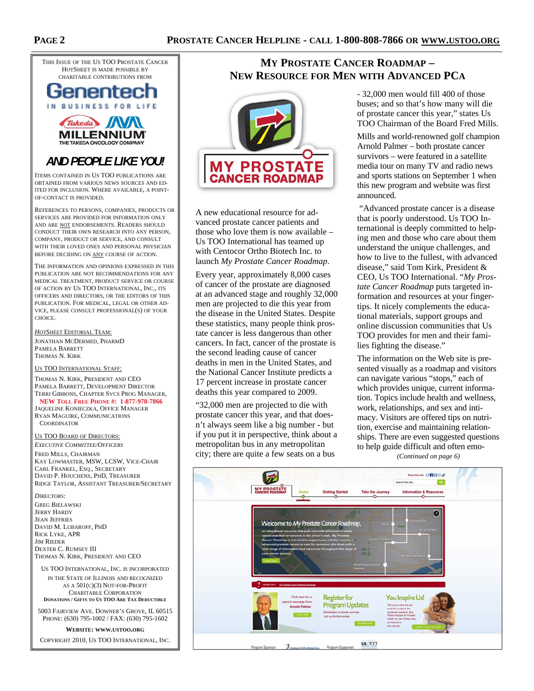THIS ISSUE OF THE US TOO PROSTATE CANCER HOTSHEET IS MADE POSSIBLE BY CHARITABLE CONTRIBUTIONS FROM





# *AND PEOPLE LIKE YOU!*

ITEMS CONTAINED IN US TOO PUBLICATIONS ARE OBTAINED FROM VARIOUS NEWS SOURCES AND ED-ITED FOR INCLUSION. WHERE AVAILABLE, A POINT-OF-CONTACT IS PROVIDED.

REFERENCES TO PERSONS, COMPANIES, PRODUCTS OR SERVICES ARE PROVIDED FOR INFORMATION ONLY AND ARE NOT ENDORSEMENTS. READERS SHOULD CONDUCT THEIR OWN RESEARCH INTO ANY PERSON, COMPANY, PRODUCT OR SERVICE, AND CONSULT WITH THEIR LOVED ONES AND PERSONAL PHYSICIAN BEFORE DECIDING ON ANY COURSE OF ACTION.

THE INFORMATION AND OPINIONS EXPRESSED IN THIS PUBLICATION ARE NOT RECOMMENDATIONS FOR ANY MEDICAL TREATMENT, PRODUCT SERVICE OR COURSE OF ACTION BY US TOO INTERNATIONAL, INC., ITS OFFICERS AND DIRECTORS, OR THE EDITORS OF THIS PUBLICATION. FOR MEDICAL, LEGAL OR OTHER AD-VICE, PLEASE CONSULT PROFESSIONAL(S) OF YOUR CHOICE.

*HOTSHEET* EDITORIAL TEAM: JONATHAN MCDERMED, PHARMD PAMELA BARRETT

US TOO INTERNATIONAL STAFF:

THOMAS N. KIRK

THOMAS N. KIRK, PRESIDENT AND CEO PAMELA BARRETT, DEVELOPMENT DIRECTOR TERRI GIBBONS, CHAPTER SVCS PROG MANAGER,

 **NEW TOLL FREE PHONE #: 1-877-978-7866** JAQUELINE KONIECZKA, OFFICE MANAGER RYAN MAGUIRE, COMMUNICATIONS **COORDINATOR** 

#### US TOO BOARD OF DIRECTORS:

*EXECUTIVE COMMITTEE/OFFICERS* FRED MILLS, CHAIRMAN KAY LOWMASTER, MSW, LCSW, VICE-CHAIR CARL FRANKEL, ESQ., SECRETARY DAVID P. HOUCHENS, PHD, TREASURER RIDGE TAYLOR, ASSISTANT TREASURER/SECRETARY

*DIRECTORS:*  GREG BIELAWSKI JERRY HARDY JEAN JEFFRIES DAVID M. LUBAROFF, PHD RICK LYKE, APR JIM RIEDER DEXTER C. RUMSEY III THOMAS N. KIRK, PRESIDENT AND CEO

US TOO INTERNATIONAL, INC. IS INCORPORATED IN THE STATE OF ILLINOIS AND RECOGNIZED AS A 501(C)(3) NOT-FOR-PROFIT CHARITABLE CORPORATION **DONATIONS / GIFTS TO US TOO ARE TAX DEDUCTIBLE**

5003 FAIRVIEW AVE. DOWNER'S GROVE, IL 60515 PHONE: (630) 795-1002 / FAX: (630) 795-1602

**WEBSITE: WWW.USTOO.ORG**

COPYRIGHT 2010, US TOO INTERNATIONAL, INC.

# **MY PROSTATE CANCER ROADMAP – NEW RESOURCE FOR MEN WITH ADVANCED PCA**



A new educational resource for advanced prostate cancer patients and those who love them is now available – Us TOO International has teamed up with Centocor Ortho Biotech Inc. to launch *My Prostate Cancer Roadmap*.

Every year, approximately 8,000 cases of cancer of the prostate are diagnosed at an advanced stage and roughly 32,000 men are projected to die this year from the disease in the United States. Despite these statistics, many people think prostate cancer is less dangerous than other cancers. In fact, cancer of the prostate is the second leading cause of cancer deaths in men in the United States, and the National Cancer Institute predicts a 17 percent increase in prostate cancer deaths this year compared to 2009.

"32,000 men are projected to die with prostate cancer this year, and that doesn't always seem like a big number - but if you put it in perspective, think about a metropolitan bus in any metropolitan city; there are quite a few seats on a bus

- 32,000 men would fill 400 of those buses; and so that's how many will die of prostate cancer this year," states Us TOO Chairman of the Board Fred Mills.

Mills and world-renowned golf champion Arnold Palmer – both prostate cancer survivors – were featured in a satellite media tour on many TV and radio news and sports stations on September 1 when this new program and website was first announced.

 "Advanced prostate cancer is a disease that is poorly understood. Us TOO International is deeply committed to helping men and those who care about them understand the unique challenges, and how to live to the fullest, with advanced disease," said Tom Kirk, President & CEO, Us TOO International. "*My Prostate Cancer Roadmap* puts targeted information and resources at your fingertips. It nicely complements the educational materials, support groups and online discussion communities that Us TOO provides for men and their families fighting the disease."

The information on the Web site is presented visually as a roadmap and visitors can navigate various "stops," each of which provides unique, current information. Topics include health and wellness, work, relationships, and sex and intimacy. Visitors are offered tips on nutrition, exercise and maintaining relationships. There are even suggested questions to help guide difficult and often emo- *(Continued on page 6)* 

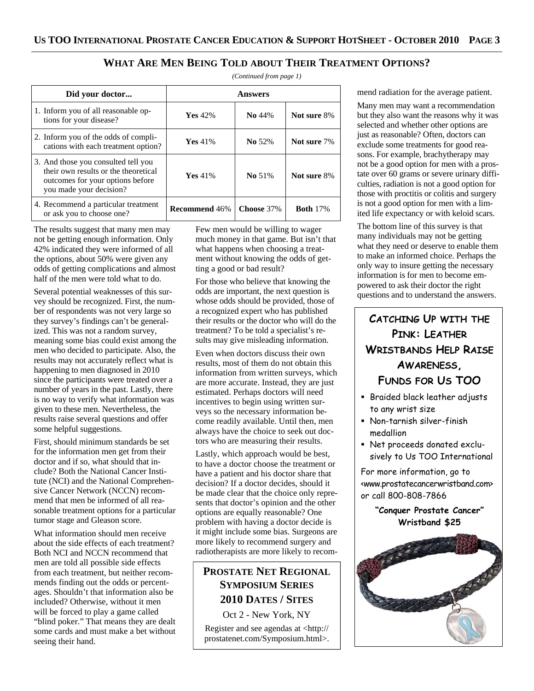| Did your doctor                                                                                                                            | <b>Answers</b>       |            |                 |
|--------------------------------------------------------------------------------------------------------------------------------------------|----------------------|------------|-----------------|
| 1. Inform you of all reasonable op-<br>tions for your disease?                                                                             | Yes $42\%$           | No 44%     | Not sure 8%     |
| 2. Inform you of the odds of compli-<br>cations with each treatment option?                                                                | Yes $41%$            | No 52%     | Not sure 7%     |
| 3. And those you consulted tell you<br>their own results or the theoretical<br>outcomes for your options before<br>you made your decision? | Yes $41%$            | No 51%     | Not sure 8%     |
| 4. Recommend a particular treatment<br>or ask you to choose one?                                                                           | <b>Recommend 46%</b> | Choose 37% | <b>Both</b> 17% |

# **WHAT ARE MEN BEING TOLD ABOUT THEIR TREATMENT OPTIONS?**

*(Continued from page 1)* 

The results suggest that many men may not be getting enough information. Only 42% indicated they were informed of all the options, about 50% were given any odds of getting complications and almost half of the men were told what to do.

Several potential weaknesses of this survey should be recognized. First, the number of respondents was not very large so they survey's findings can't be generalized. This was not a random survey, meaning some bias could exist among the men who decided to participate. Also, the results may not accurately reflect what is happening to men diagnosed in 2010 since the participants were treated over a number of years in the past. Lastly, there is no way to verify what information was given to these men. Nevertheless, the results raise several questions and offer some helpful suggestions.

First, should minimum standards be set for the information men get from their doctor and if so, what should that include? Both the National Cancer Institute (NCI) and the National Comprehensive Cancer Network (NCCN) recommend that men be informed of all reasonable treatment options for a particular tumor stage and Gleason score.

What information should men receive about the side effects of each treatment? Both NCI and NCCN recommend that men are told all possible side effects from each treatment, but neither recommends finding out the odds or percentages. Shouldn't that information also be included? Otherwise, without it men will be forced to play a game called "blind poker." That means they are dealt some cards and must make a bet without seeing their hand.

Few men would be willing to wager much money in that game. But isn't that what happens when choosing a treatment without knowing the odds of getting a good or bad result?

For those who believe that knowing the odds are important, the next question is whose odds should be provided, those of a recognized expert who has published their results or the doctor who will do the treatment? To be told a specialist's results may give misleading information.

Even when doctors discuss their own results, most of them do not obtain this information from written surveys, which are more accurate. Instead, they are just estimated. Perhaps doctors will need incentives to begin using written surveys so the necessary information become readily available. Until then, men always have the choice to seek out doctors who are measuring their results.

Lastly, which approach would be best, to have a doctor choose the treatment or have a patient and his doctor share that decision? If a doctor decides, should it be made clear that the choice only represents that doctor's opinion and the other options are equally reasonable? One problem with having a doctor decide is it might include some bias. Surgeons are more likely to recommend surgery and radiotherapists are more likely to recom-

# **PROSTATE NET REGIONAL SYMPOSIUM SERIES 2010 DATES / SITES**

Oct 2 - New York, NY

Register and see agendas at <http:// prostatenet.com/Symposium.html>. mend radiation for the average patient.

Many men may want a recommendation but they also want the reasons why it was selected and whether other options are just as reasonable? Often, doctors can exclude some treatments for good reasons. For example, brachytherapy may not be a good option for men with a prostate over 60 grams or severe urinary difficulties, radiation is not a good option for those with proctitis or colitis and surgery is not a good option for men with a limited life expectancy or with keloid scars.

The bottom line of this survey is that many individuals may not be getting what they need or deserve to enable them to make an informed choice. Perhaps the only way to insure getting the necessary information is for men to become empowered to ask their doctor the right questions and to understand the answers.

# **CATCHING UP WITH THE PINK: LEATHER WRISTBANDS HELP RAISE AWARENESS, FUNDS FOR US TOO**

- **Braided black leather adjusts** to any wrist size
- Non-tarnish silver-finish medallion
- Net proceeds donated exclusively to Us TOO International

For more information, go to <www.prostatecancerwristband.com> or call 800-808-7866

### **"Conquer Prostate Cancer" Wristband \$25**

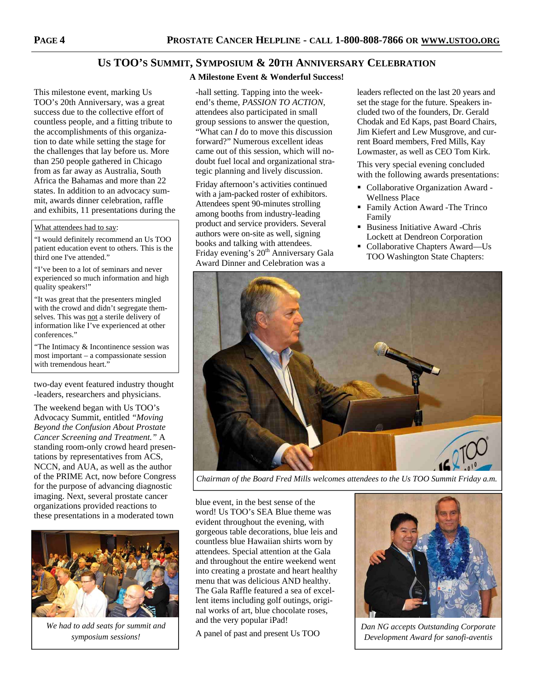### **US TOO'S SUMMIT, SYMPOSIUM & 20TH ANNIVERSARY CELEBRATION**

**A Milestone Event & Wonderful Success!** 

This milestone event, marking Us TOO's 20th Anniversary, was a great success due to the collective effort of countless people, and a fitting tribute to the accomplishments of this organization to date while setting the stage for the challenges that lay before us. More than 250 people gathered in Chicago from as far away as Australia, South Africa the Bahamas and more than 22 states. In addition to an advocacy summit, awards dinner celebration, raffle and exhibits, 11 presentations during the

#### What attendees had to say:

"I would definitely recommend an Us TOO patient education event to others. This is the third one I've attended."

"I've been to a lot of seminars and never experienced so much information and high quality speakers!"

"It was great that the presenters mingled with the crowd and didn't segregate themselves. This was not a sterile delivery of information like  $\overline{I'v}$ e experienced at other conferences."

"The Intimacy & Incontinence session was most important – a compassionate session with tremendous heart.'

two-day event featured industry thought -leaders, researchers and physicians.

The weekend began with Us TOO's Advocacy Summit, entitled *"Moving Beyond the Confusion About Prostate Cancer Screening and Treatment."* A standing room-only crowd heard presentations by representatives from ACS, NCCN, and AUA, as well as the author of the PRIME Act, now before Congress for the purpose of advancing diagnostic imaging. Next, several prostate cancer organizations provided reactions to these presentations in a moderated town



*We had to add seats for summit and symposium sessions!* 

-hall setting. Tapping into the weekend's theme, *PASSION TO ACTION*, attendees also participated in small group sessions to answer the question, "What can *I* do to move this discussion forward?" Numerous excellent ideas came out of this session, which will nodoubt fuel local and organizational strategic planning and lively discussion.

Friday afternoon's activities continued with a jam-packed roster of exhibitors. Attendees spent 90-minutes strolling among booths from industry-leading product and service providers. Several authors were on-site as well, signing books and talking with attendees. Friday evening's 20<sup>th</sup> Anniversary Gala Award Dinner and Celebration was a

leaders reflected on the last 20 years and set the stage for the future. Speakers included two of the founders, Dr. Gerald Chodak and Ed Kaps, past Board Chairs, Jim Kiefert and Lew Musgrove, and current Board members, Fred Mills, Kay Lowmaster, as well as CEO Tom Kirk.

This very special evening concluded with the following awards presentations:

- Collaborative Organization Award -Wellness Place
- Family Action Award -The Trinco Family
- Business Initiative Award -Chris Lockett at Dendreon Corporation
- Collaborative Chapters Award—Us TOO Washington State Chapters:



*Chairman of the Board Fred Mills welcomes attendees to the Us TOO Summit Friday a.m.* 

blue event, in the best sense of the word! Us TOO's SEA Blue theme was evident throughout the evening, with gorgeous table decorations, blue leis and countless blue Hawaiian shirts worn by attendees. Special attention at the Gala and throughout the entire weekend went into creating a prostate and heart healthy menu that was delicious AND healthy. The Gala Raffle featured a sea of excellent items including golf outings, original works of art, blue chocolate roses, and the very popular iPad!

A panel of past and present Us TOO



*Dan NG accepts Outstanding Corporate Development Award for sanofi-aventis*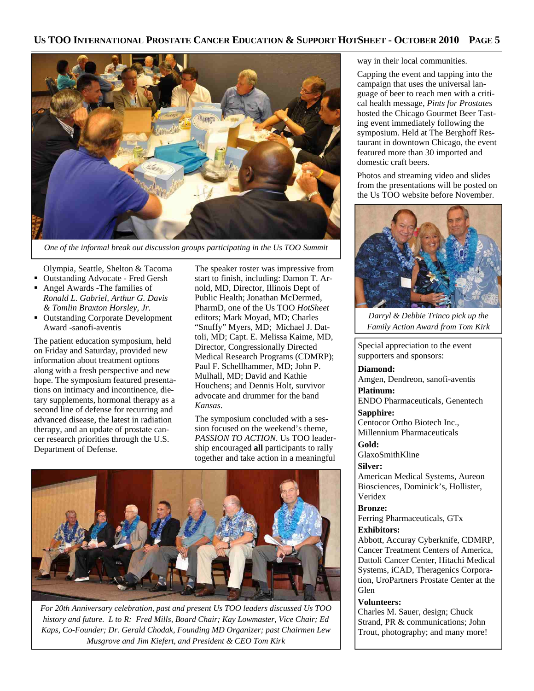

*One of the informal break out discussion groups participating in the Us TOO Summit* 

Olympia, Seattle, Shelton & Tacoma

- Outstanding Advocate Fred Gersh
- Angel Awards -The families of *Ronald L. Gabriel, Arthur G. Davis & Tomlin Braxton Horsley, Jr.*
- Outstanding Corporate Development Award -sanofi-aventis

The patient education symposium, held on Friday and Saturday, provided new information about treatment options along with a fresh perspective and new hope. The symposium featured presentations on intimacy and incontinence, dietary supplements, hormonal therapy as a second line of defense for recurring and advanced disease, the latest in radiation therapy, and an update of prostate cancer research priorities through the U.S. Department of Defense.

The speaker roster was impressive from start to finish, including: Damon T. Arnold, MD, Director, Illinois Dept of Public Health; Jonathan McDermed, PharmD, one of the Us TOO *HotSheet*  editors; Mark Moyad, MD; Charles "Snuffy" Myers, MD; Michael J. Dattoli, MD; Capt. E. Melissa Kaime, MD, Director, Congressionally Directed Medical Research Programs (CDMRP); Paul F. Schellhammer, MD; John P. Mulhall, MD; David and Kathie Houchens; and Dennis Holt, survivor advocate and drummer for the band *Kansas*.

The symposium concluded with a session focused on the weekend's theme, *PASSION TO ACTION*. Us TOO leadership encouraged **all** participants to rally together and take action in a meaningful



*For 20th Anniversary celebration, past and present Us TOO leaders discussed Us TOO history and future. L to R: Fred Mills, Board Chair; Kay Lowmaster, Vice Chair; Ed Kaps, Co-Founder; Dr. Gerald Chodak, Founding MD Organizer; past Chairmen Lew Musgrove and Jim Kiefert, and President & CEO Tom Kirk* 

way in their local communities.

Capping the event and tapping into the campaign that uses the universal language of beer to reach men with a critical health message, *Pints for Prostates*  hosted the Chicago Gourmet Beer Tasting event immediately following the symposium. Held at The Berghoff Restaurant in downtown Chicago, the event featured more than 30 imported and domestic craft beers.

Photos and streaming video and slides from the presentations will be posted on the Us TOO website before November.



*Darryl & Debbie Trinco pick up the Family Action Award from Tom Kirk* 

Special appreciation to the event supporters and sponsors:

**Diamond:** 

Amgen, Dendreon, sanofi-aventis

**Platinum:** 

ENDO Pharmaceuticals, Genentech **Sapphire:** 

Centocor Ortho Biotech Inc., Millennium Pharmaceuticals

**Gold:** 

GlaxoSmithKline

#### **Silver:**

American Medical Systems, Aureon Biosciences, Dominick's, Hollister, Veridex

#### **Bronze:**

Ferring Pharmaceuticals, GTx **Exhibitors:** 

Abbott, Accuray Cyberknife, CDMRP, Cancer Treatment Centers of America, Dattoli Cancer Center, Hitachi Medical Systems, iCAD, Theragenics Corporation, UroPartners Prostate Center at the Glen

#### **Volunteers:**

Charles M. Sauer, design; Chuck Strand, PR & communications; John Trout, photography; and many more!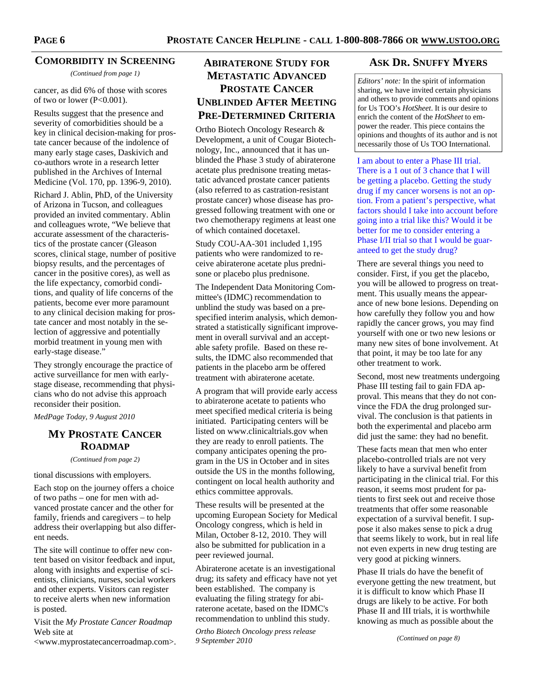#### **COMORBIDITY IN SCREENING**

*(Continued from page 1)* 

cancer, as did 6% of those with scores of two or lower (P<0.001).

Results suggest that the presence and severity of comorbidities should be a key in clinical decision-making for prostate cancer because of the indolence of many early stage cases, Daskivich and co-authors wrote in a research letter published in the Archives of Internal Medicine (Vol. 170, pp. 1396-9, 2010).

Richard J. Ablin, PhD, of the University of Arizona in Tucson, and colleagues provided an invited commentary. Ablin and colleagues wrote, "We believe that accurate assessment of the characteristics of the prostate cancer (Gleason scores, clinical stage, number of positive biopsy results, and the percentages of cancer in the positive cores), as well as the life expectancy, comorbid conditions, and quality of life concerns of the patients, become ever more paramount to any clinical decision making for prostate cancer and most notably in the selection of aggressive and potentially morbid treatment in young men with early-stage disease."

They strongly encourage the practice of active surveillance for men with earlystage disease, recommending that physicians who do not advise this approach reconsider their position.

*MedPage Today, 9 August 2010*

### **MY PROSTATE CANCER ROADMAP**

*(Continued from page 2)* 

tional discussions with employers.

Each stop on the journey offers a choice of two paths – one for men with advanced prostate cancer and the other for family, friends and caregivers – to help address their overlapping but also different needs.

The site will continue to offer new content based on visitor feedback and input, along with insights and expertise of scientists, clinicians, nurses, social workers and other experts. Visitors can register to receive alerts when new information is posted.

Visit the *My Prostate Cancer Roadmap* Web site at

<www.myprostatecancerroadmap.com>.

# **ABIRATERONE STUDY FOR METASTATIC ADVANCED PROSTATE CANCER UNBLINDED AFTER MEETING PRE-DETERMINED CRITERIA**

Ortho Biotech Oncology Research & Development, a unit of Cougar Biotechnology, Inc., announced that it has unblinded the Phase 3 study of abiraterone acetate plus prednisone treating metastatic advanced prostate cancer patients (also referred to as castration-resistant prostate cancer) whose disease has progressed following treatment with one or two chemotherapy regimens at least one of which contained docetaxel.

Study COU-AA-301 included 1,195 patients who were randomized to receive abiraterone acetate plus prednisone or placebo plus prednisone.

The Independent Data Monitoring Committee's (IDMC) recommendation to unblind the study was based on a prespecified interim analysis, which demonstrated a statistically significant improvement in overall survival and an acceptable safety profile. Based on these results, the IDMC also recommended that patients in the placebo arm be offered treatment with abiraterone acetate.

A program that will provide early access to abiraterone acetate to patients who meet specified medical criteria is being initiated. Participating centers will be listed on www.clinicaltrials.gov when they are ready to enroll patients. The company anticipates opening the program in the US in October and in sites outside the US in the months following, contingent on local health authority and ethics committee approvals.

These results will be presented at the upcoming European Society for Medical Oncology congress, which is held in Milan, October 8-12, 2010. They will also be submitted for publication in a peer reviewed journal.

Abiraterone acetate is an investigational drug; its safety and efficacy have not yet been established. The company is evaluating the filing strategy for abiraterone acetate, based on the IDMC's recommendation to unblind this study.

*Ortho Biotech Oncology press release 9 September 2010* 

### **ASK DR. SNUFFY MYERS**

*Editors' note:* In the spirit of information sharing, we have invited certain physicians and others to provide comments and opinions for Us TOO's *HotSheet*. It is our desire to enrich the content of the *HotSheet* to empower the reader. This piece contains the opinions and thoughts of its author and is not necessarily those of Us TOO International.

I am about to enter a Phase III trial. There is a 1 out of 3 chance that I will be getting a placebo. Getting the study drug if my cancer worsens is not an option. From a patient's perspective, what factors should I take into account before going into a trial like this? Would it be better for me to consider entering a Phase I/II trial so that I would be guaranteed to get the study drug?

There are several things you need to consider. First, if you get the placebo, you will be allowed to progress on treatment. This usually means the appearance of new bone lesions. Depending on how carefully they follow you and how rapidly the cancer grows, you may find yourself with one or two new lesions or many new sites of bone involvement. At that point, it may be too late for any other treatment to work.

Second, most new treatments undergoing Phase III testing fail to gain FDA approval. This means that they do not convince the FDA the drug prolonged survival. The conclusion is that patients in both the experimental and placebo arm did just the same: they had no benefit.

These facts mean that men who enter placebo-controlled trials are not very likely to have a survival benefit from participating in the clinical trial. For this reason, it seems most prudent for patients to first seek out and receive those treatments that offer some reasonable expectation of a survival benefit. I suppose it also makes sense to pick a drug that seems likely to work, but in real life not even experts in new drug testing are very good at picking winners.

Phase II trials do have the benefit of everyone getting the new treatment, but it is difficult to know which Phase II drugs are likely to be active. For both Phase II and III trials, it is worthwhile knowing as much as possible about the

*(Continued on page 8)*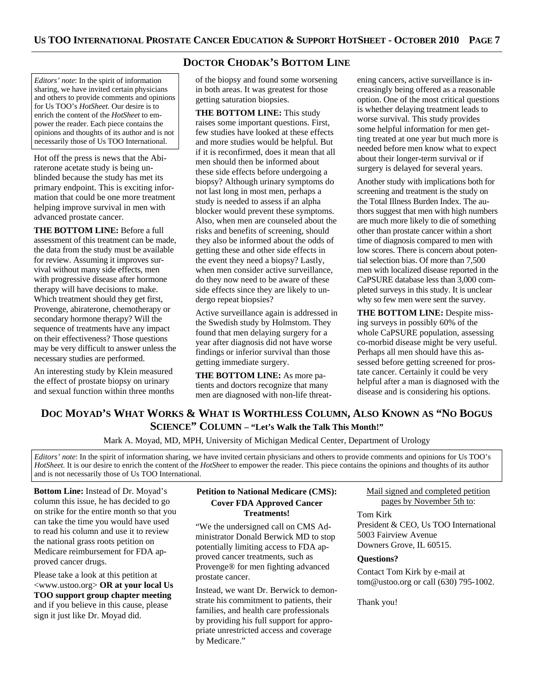*Editors' note*: In the spirit of information sharing, we have invited certain physicians and others to provide comments and opinions for Us TOO's *HotSheet.* Our desire is to enrich the content of the *HotSheet* to empower the reader. Each piece contains the opinions and thoughts of its author and is not necessarily those of Us TOO International.

Hot off the press is news that the Abiraterone acetate study is being unblinded because the study has met its primary endpoint. This is exciting information that could be one more treatment helping improve survival in men with advanced prostate cancer.

**THE BOTTOM LINE:** Before a full assessment of this treatment can be made, the data from the study must be available for review. Assuming it improves survival without many side effects, men with progressive disease after hormone therapy will have decisions to make. Which treatment should they get first, Provenge, abiraterone, chemotherapy or secondary hormone therapy? Will the sequence of treatments have any impact on their effectiveness? Those questions may be very difficult to answer unless the necessary studies are performed.

An interesting study by Klein measured the effect of prostate biopsy on urinary and sexual function within three months

#### **DOCTOR CHODAK'S BOTTOM LINE**

of the biopsy and found some worsening in both areas. It was greatest for those getting saturation biopsies.

**THE BOTTOM LINE:** This study raises some important questions. First, few studies have looked at these effects and more studies would be helpful. But if it is reconfirmed, does it mean that all men should then be informed about these side effects before undergoing a biopsy? Although urinary symptoms do not last long in most men, perhaps a study is needed to assess if an alpha blocker would prevent these symptoms. Also, when men are counseled about the risks and benefits of screening, should they also be informed about the odds of getting these and other side effects in the event they need a biopsy? Lastly, when men consider active surveillance, do they now need to be aware of these side effects since they are likely to undergo repeat biopsies?

Active surveillance again is addressed in the Swedish study by Holmstom. They found that men delaying surgery for a year after diagnosis did not have worse findings or inferior survival than those getting immediate surgery.

**THE BOTTOM LINE:** As more patients and doctors recognize that many men are diagnosed with non-life threatening cancers, active surveillance is increasingly being offered as a reasonable option. One of the most critical questions is whether delaying treatment leads to worse survival. This study provides some helpful information for men getting treated at one year but much more is needed before men know what to expect about their longer-term survival or if surgery is delayed for several years.

Another study with implications both for screening and treatment is the study on the Total Illness Burden Index. The authors suggest that men with high numbers are much more likely to die of something other than prostate cancer within a short time of diagnosis compared to men with low scores. There is concern about potential selection bias. Of more than 7,500 men with localized disease reported in the CaPSURE database less than 3,000 completed surveys in this study. It is unclear why so few men were sent the survey.

**THE BOTTOM LINE: Despite miss**ing surveys in possibly 60% of the whole CaPSURE population, assessing co-morbid disease might be very useful. Perhaps all men should have this assessed before getting screened for prostate cancer. Certainly it could be very helpful after a man is diagnosed with the disease and is considering his options.

# **DOC MOYAD'S WHAT WORKS & WHAT IS WORTHLESS COLUMN, ALSO KNOWN AS "NO BOGUS SCIENCE" COLUMN – "Let's Walk the Talk This Month!"**

Mark A. Moyad, MD, MPH, University of Michigan Medical Center, Department of Urology

*Editors' note*: In the spirit of information sharing, we have invited certain physicians and others to provide comments and opinions for Us TOO's *HotSheet.* It is our desire to enrich the content of the *HotSheet* to empower the reader. This piece contains the opinions and thoughts of its author and is not necessarily those of Us TOO International.

**Bottom Line:** Instead of Dr. Moyad's column this issue, he has decided to go on strike for the entire month so that you can take the time you would have used to read his column and use it to review the national grass roots petition on Medicare reimbursement for FDA approved cancer drugs.

Please take a look at this petition at <www.ustoo.org> **OR at your local Us TOO support group chapter meeting** and if you believe in this cause, please sign it just like Dr. Moyad did.

#### **Petition to National Medicare (CMS): Cover FDA Approved Cancer Treatments!**

"We the undersigned call on CMS Administrator Donald Berwick MD to stop potentially limiting access to FDA approved cancer treatments, such as Provenge® for men fighting advanced prostate cancer.

Instead, we want Dr. Berwick to demonstrate his commitment to patients, their families, and health care professionals by providing his full support for appropriate unrestricted access and coverage by Medicare."

Mail signed and completed petition pages by November 5th to:

#### Tom Kirk

President & CEO, Us TOO International 5003 Fairview Avenue Downers Grove, IL 60515.

#### **Questions?**

Contact Tom Kirk by e-mail at tom@ustoo.org or call (630) 795-1002.

Thank you!